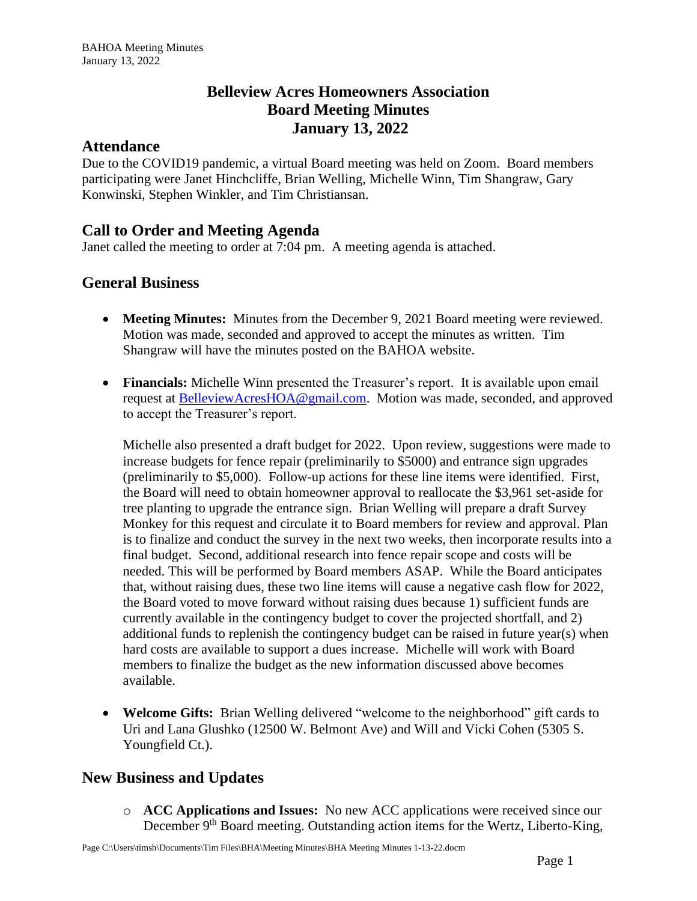# **Belleview Acres Homeowners Association Board Meeting Minutes January 13, 2022**

#### **Attendance**

Due to the COVID19 pandemic, a virtual Board meeting was held on Zoom. Board members participating were Janet Hinchcliffe, Brian Welling, Michelle Winn, Tim Shangraw, Gary Konwinski, Stephen Winkler, and Tim Christiansan.

# **Call to Order and Meeting Agenda**

Janet called the meeting to order at 7:04 pm. A meeting agenda is attached.

### **General Business**

- **Meeting Minutes:** Minutes from the December 9, 2021 Board meeting were reviewed. Motion was made, seconded and approved to accept the minutes as written. Tim Shangraw will have the minutes posted on the BAHOA website.
- **Financials:** Michelle Winn presented the Treasurer's report. It is available upon email request at **BelleviewAcresHOA@gmail.com.** Motion was made, seconded, and approved to accept the Treasurer's report.

Michelle also presented a draft budget for 2022. Upon review, suggestions were made to increase budgets for fence repair (preliminarily to \$5000) and entrance sign upgrades (preliminarily to \$5,000). Follow-up actions for these line items were identified. First, the Board will need to obtain homeowner approval to reallocate the \$3,961 set-aside for tree planting to upgrade the entrance sign. Brian Welling will prepare a draft Survey Monkey for this request and circulate it to Board members for review and approval. Plan is to finalize and conduct the survey in the next two weeks, then incorporate results into a final budget. Second, additional research into fence repair scope and costs will be needed. This will be performed by Board members ASAP. While the Board anticipates that, without raising dues, these two line items will cause a negative cash flow for 2022, the Board voted to move forward without raising dues because 1) sufficient funds are currently available in the contingency budget to cover the projected shortfall, and 2) additional funds to replenish the contingency budget can be raised in future year(s) when hard costs are available to support a dues increase. Michelle will work with Board members to finalize the budget as the new information discussed above becomes available.

• **Welcome Gifts:** Brian Welling delivered "welcome to the neighborhood" gift cards to Uri and Lana Glushko (12500 W. Belmont Ave) and Will and Vicki Cohen (5305 S. Youngfield Ct.).

### **New Business and Updates**

o **ACC Applications and Issues:** No new ACC applications were received since our December 9<sup>th</sup> Board meeting. Outstanding action items for the Wertz, Liberto-King,